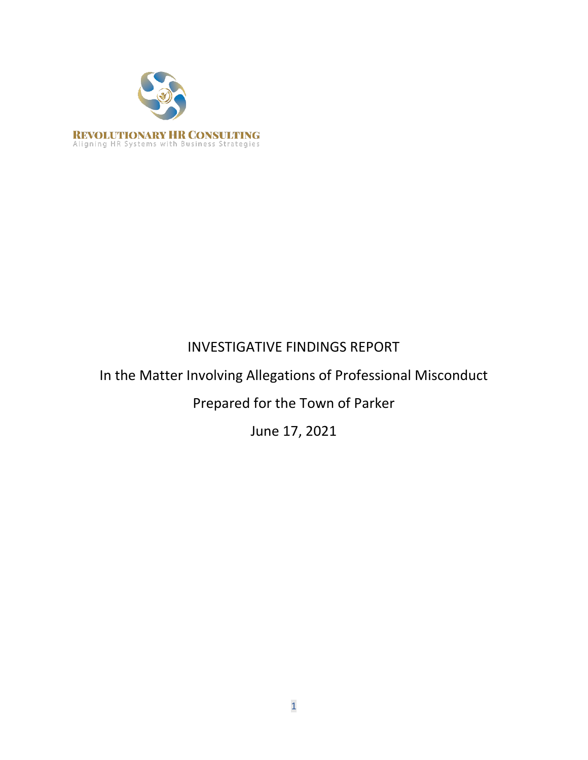

# INVESTIGATIVE FINDINGS REPORT

# In the Matter Involving Allegations of Professional Misconduct

Prepared for the Town of Parker

June 17, 2021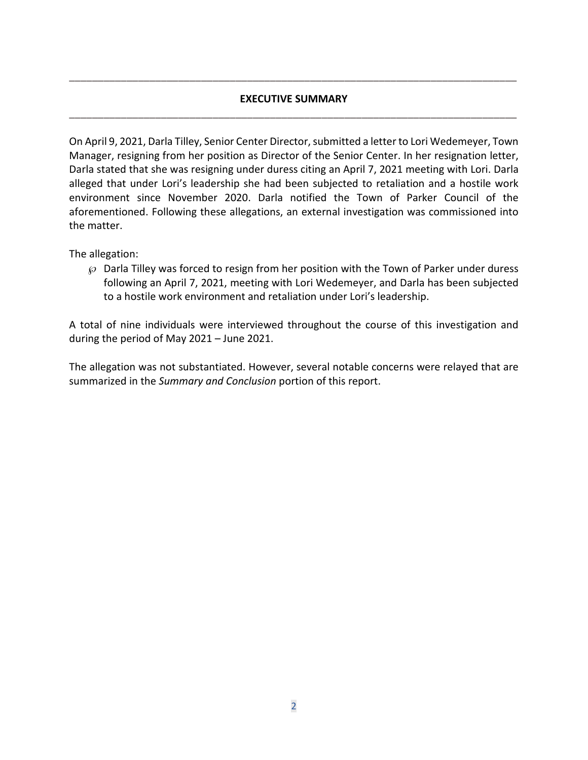# **EXECUTIVE SUMMARY \_\_\_\_\_\_\_\_\_\_\_\_\_\_\_\_\_\_\_\_\_\_\_\_\_\_\_\_\_\_\_\_\_\_\_\_\_\_\_\_\_\_\_\_\_\_\_\_\_\_\_\_\_\_\_\_\_\_\_\_\_\_\_\_\_\_\_\_\_\_\_\_\_\_\_\_\_\_**

**\_\_\_\_\_\_\_\_\_\_\_\_\_\_\_\_\_\_\_\_\_\_\_\_\_\_\_\_\_\_\_\_\_\_\_\_\_\_\_\_\_\_\_\_\_\_\_\_\_\_\_\_\_\_\_\_\_\_\_\_\_\_\_\_\_\_\_\_\_\_\_\_\_\_\_\_\_\_**

On April 9, 2021, Darla Tilley, Senior Center Director, submitted a letter to Lori Wedemeyer, Town Manager, resigning from her position as Director of the Senior Center. In her resignation letter, Darla stated that she was resigning under duress citing an April 7, 2021 meeting with Lori. Darla alleged that under Lori's leadership she had been subjected to retaliation and a hostile work environment since November 2020. Darla notified the Town of Parker Council of the aforementioned. Following these allegations, an external investigation was commissioned into the matter.

The allegation:

 $\wp$  Darla Tilley was forced to resign from her position with the Town of Parker under duress following an April 7, 2021, meeting with Lori Wedemeyer, and Darla has been subjected to a hostile work environment and retaliation under Lori's leadership.

A total of nine individuals were interviewed throughout the course of this investigation and during the period of May 2021 – June 2021.

The allegation was not substantiated. However, several notable concerns were relayed that are summarized in the *Summary and Conclusion* portion of this report.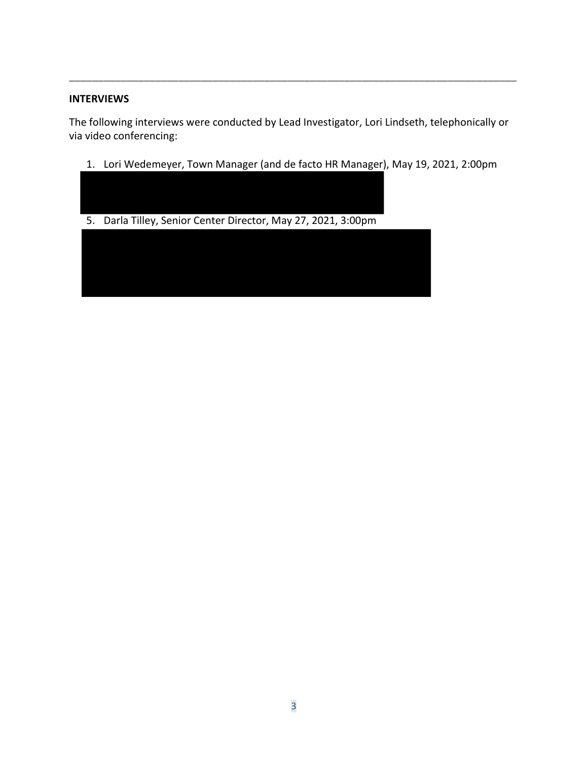#### **INTERVIEWS**

The following interviews were conducted by Lead Investigator, Lori Lindseth, telephonically or via video conferencing:

**\_\_\_\_\_\_\_\_\_\_\_\_\_\_\_\_\_\_\_\_\_\_\_\_\_\_\_\_\_\_\_\_\_\_\_\_\_\_\_\_\_\_\_\_\_\_\_\_\_\_\_\_\_\_\_\_\_\_\_\_\_\_\_\_\_\_\_\_\_\_\_\_\_\_\_\_\_\_**

- 1. Lori Wedemeyer, Town Manager (and de facto HR Manager), May 19, 2021, 2:00pm
- 5. Darla Tilley, Senior Center Director, May 27, 2021, 3:00pm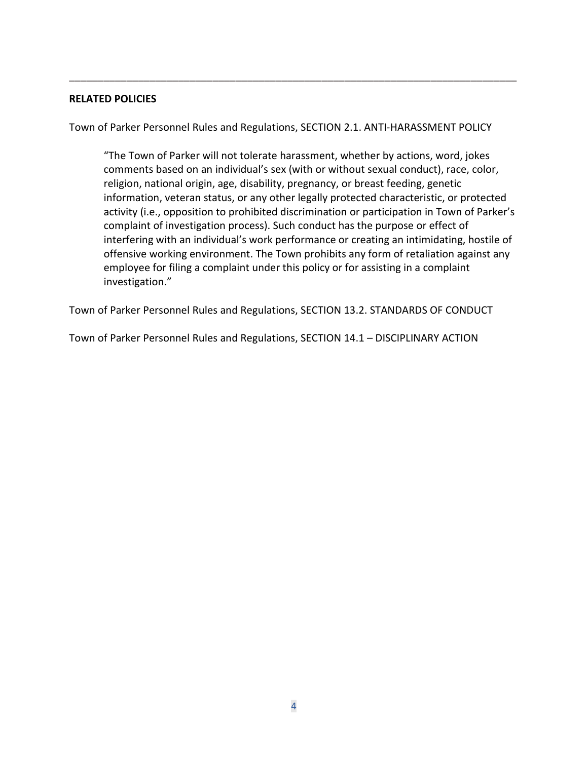#### **RELATED POLICIES**

Town of Parker Personnel Rules and Regulations, SECTION 2.1. ANTI-HARASSMENT POLICY

**\_\_\_\_\_\_\_\_\_\_\_\_\_\_\_\_\_\_\_\_\_\_\_\_\_\_\_\_\_\_\_\_\_\_\_\_\_\_\_\_\_\_\_\_\_\_\_\_\_\_\_\_\_\_\_\_\_\_\_\_\_\_\_\_\_\_\_\_\_\_\_\_\_\_\_\_\_\_**

"The Town of Parker will not tolerate harassment, whether by actions, word, jokes comments based on an individual's sex (with or without sexual conduct), race, color, religion, national origin, age, disability, pregnancy, or breast feeding, genetic information, veteran status, or any other legally protected characteristic, or protected activity (i.e., opposition to prohibited discrimination or participation in Town of Parker's complaint of investigation process). Such conduct has the purpose or effect of interfering with an individual's work performance or creating an intimidating, hostile of offensive working environment. The Town prohibits any form of retaliation against any employee for filing a complaint under this policy or for assisting in a complaint investigation."

Town of Parker Personnel Rules and Regulations, SECTION 13.2. STANDARDS OF CONDUCT

Town of Parker Personnel Rules and Regulations, SECTION 14.1 – DISCIPLINARY ACTION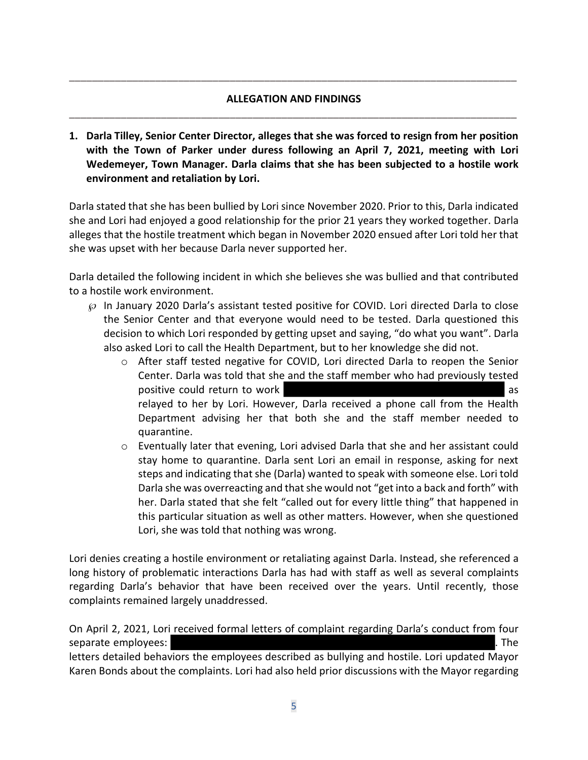# **ALLEGATION AND FINDINGS \_\_\_\_\_\_\_\_\_\_\_\_\_\_\_\_\_\_\_\_\_\_\_\_\_\_\_\_\_\_\_\_\_\_\_\_\_\_\_\_\_\_\_\_\_\_\_\_\_\_\_\_\_\_\_\_\_\_\_\_\_\_\_\_\_\_\_\_\_\_\_\_\_\_\_\_\_\_**

**\_\_\_\_\_\_\_\_\_\_\_\_\_\_\_\_\_\_\_\_\_\_\_\_\_\_\_\_\_\_\_\_\_\_\_\_\_\_\_\_\_\_\_\_\_\_\_\_\_\_\_\_\_\_\_\_\_\_\_\_\_\_\_\_\_\_\_\_\_\_\_\_\_\_\_\_\_\_**

**1. Darla Tilley, Senior Center Director, alleges that she was forced to resign from her position with the Town of Parker under duress following an April 7, 2021, meeting with Lori Wedemeyer, Town Manager. Darla claims that she has been subjected to a hostile work environment and retaliation by Lori.**

Darla stated that she has been bullied by Lori since November 2020. Prior to this, Darla indicated she and Lori had enjoyed a good relationship for the prior 21 years they worked together. Darla alleges that the hostile treatment which began in November 2020 ensued after Lori told her that she was upset with her because Darla never supported her.

Darla detailed the following incident in which she believes she was bullied and that contributed to a hostile work environment.

- $\wp$  In January 2020 Darla's assistant tested positive for COVID. Lori directed Darla to close the Senior Center and that everyone would need to be tested. Darla questioned this decision to which Lori responded by getting upset and saying, "do what you want". Darla also asked Lori to call the Health Department, but to her knowledge she did not.
	- o After staff tested negative for COVID, Lori directed Darla to reopen the Senior Center. Darla was told that she and the staff member who had previously tested positive could return to work as a set of the set of the set of the set of the set of the set of the set of the set of the set of the set of the set of the set of the set of the set of the set of the set of the set of the relayed to her by Lori. However, Darla received a phone call from the Health Department advising her that both she and the staff member needed to quarantine.
	- o Eventually later that evening, Lori advised Darla that she and her assistant could stay home to quarantine. Darla sent Lori an email in response, asking for next steps and indicating that she (Darla) wanted to speak with someone else. Lori told Darla she was overreacting and that she would not "get into a back and forth" with her. Darla stated that she felt "called out for every little thing" that happened in this particular situation as well as other matters. However, when she questioned Lori, she was told that nothing was wrong.

Lori denies creating a hostile environment or retaliating against Darla. Instead, she referenced a long history of problematic interactions Darla has had with staff as well as several complaints regarding Darla's behavior that have been received over the years. Until recently, those complaints remained largely unaddressed.

On April 2, 2021, Lori received formal letters of complaint regarding Darla's conduct from four separate employees:  $\blacksquare$ letters detailed behaviors the employees described as bullying and hostile. Lori updated Mayor Karen Bonds about the complaints. Lori had also held prior discussions with the Mayor regarding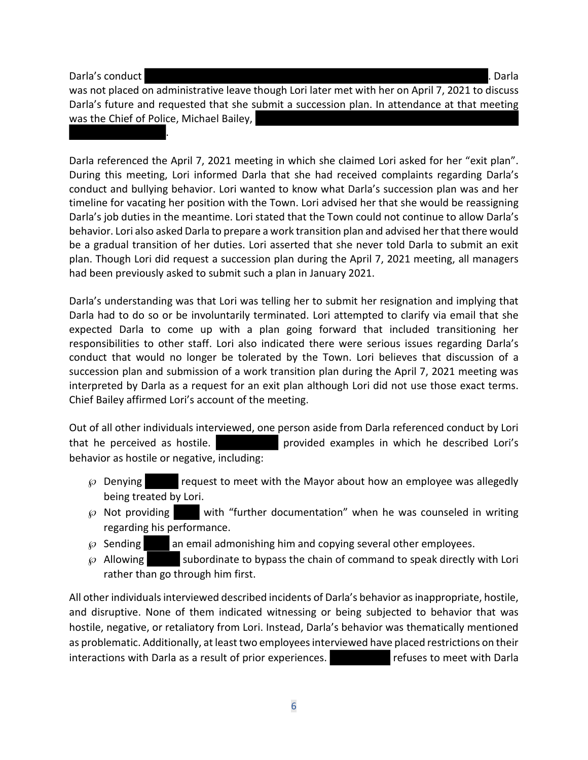Darla's conduct . Darla

.

was not placed on administrative leave though Lori later met with her on April 7, 2021 to discuss Darla's future and requested that she submit a succession plan. In attendance at that meeting was the Chief of Police, Michael Bailey,

Darla referenced the April 7, 2021 meeting in which she claimed Lori asked for her "exit plan". During this meeting, Lori informed Darla that she had received complaints regarding Darla's conduct and bullying behavior. Lori wanted to know what Darla's succession plan was and her timeline for vacating her position with the Town. Lori advised her that she would be reassigning Darla's job duties in the meantime. Lori stated that the Town could not continue to allow Darla's behavior. Lori also asked Darla to prepare a work transition plan and advised her that there would be a gradual transition of her duties. Lori asserted that she never told Darla to submit an exit plan. Though Lori did request a succession plan during the April 7, 2021 meeting, all managers had been previously asked to submit such a plan in January 2021.

Darla's understanding was that Lori was telling her to submit her resignation and implying that Darla had to do so or be involuntarily terminated. Lori attempted to clarify via email that she expected Darla to come up with a plan going forward that included transitioning her responsibilities to other staff. Lori also indicated there were serious issues regarding Darla's conduct that would no longer be tolerated by the Town. Lori believes that discussion of a succession plan and submission of a work transition plan during the April 7, 2021 meeting was interpreted by Darla as a request for an exit plan although Lori did not use those exact terms. Chief Bailey affirmed Lori's account of the meeting.

Out of all other individuals interviewed, one person aside from Darla referenced conduct by Lori that he perceived as hostile. provided examples in which he described Lori's behavior as hostile or negative, including:

- $\wp$  Denying request to meet with the Mayor about how an employee was allegedly being treated by Lori.
- $\wp$  Not providing with "further documentation" when he was counseled in writing regarding his performance.
- $\wp$  Sending an email admonishing him and copying several other employees.
- $\wp$  Allowing subordinate to bypass the chain of command to speak directly with Lori rather than go through him first.

All other individuals interviewed described incidents of Darla's behavior as inappropriate, hostile, and disruptive. None of them indicated witnessing or being subjected to behavior that was hostile, negative, or retaliatory from Lori. Instead, Darla's behavior was thematically mentioned as problematic. Additionally, at least two employees interviewed have placed restrictions on their interactions with Darla as a result of prior experiences. The refuses to meet with Darla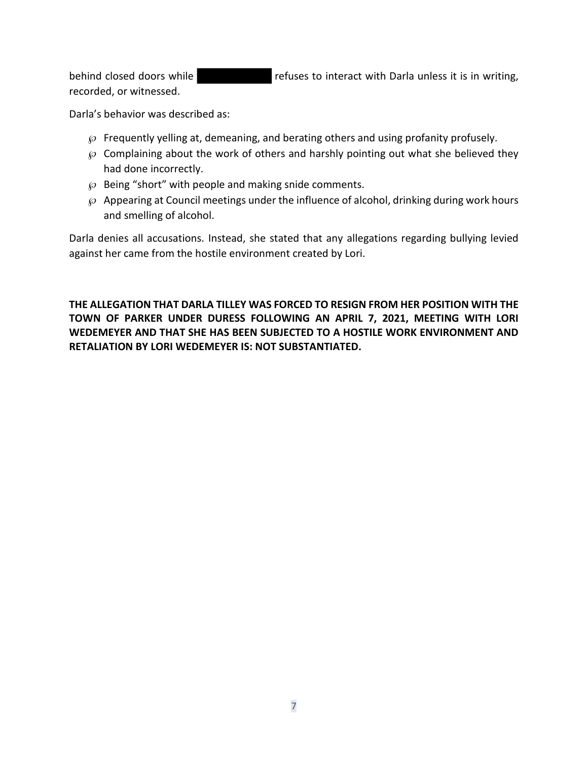behind closed doors while **refuses to interact with Darla unless it is in writing**, recorded, or witnessed.

Darla's behavior was described as:

- $\wp$  Frequently yelling at, demeaning, and berating others and using profanity profusely.
- $\wp$  Complaining about the work of others and harshly pointing out what she believed they had done incorrectly.
- $\wp$  Being "short" with people and making snide comments.
- $\wp$  Appearing at Council meetings under the influence of alcohol, drinking during work hours and smelling of alcohol.

Darla denies all accusations. Instead, she stated that any allegations regarding bullying levied against her came from the hostile environment created by Lori.

**THE ALLEGATION THAT DARLA TILLEY WAS FORCED TO RESIGN FROM HER POSITION WITH THE TOWN OF PARKER UNDER DURESS FOLLOWING AN APRIL 7, 2021, MEETING WITH LORI WEDEMEYER AND THAT SHE HAS BEEN SUBJECTED TO A HOSTILE WORK ENVIRONMENT AND RETALIATION BY LORI WEDEMEYER IS: NOT SUBSTANTIATED.**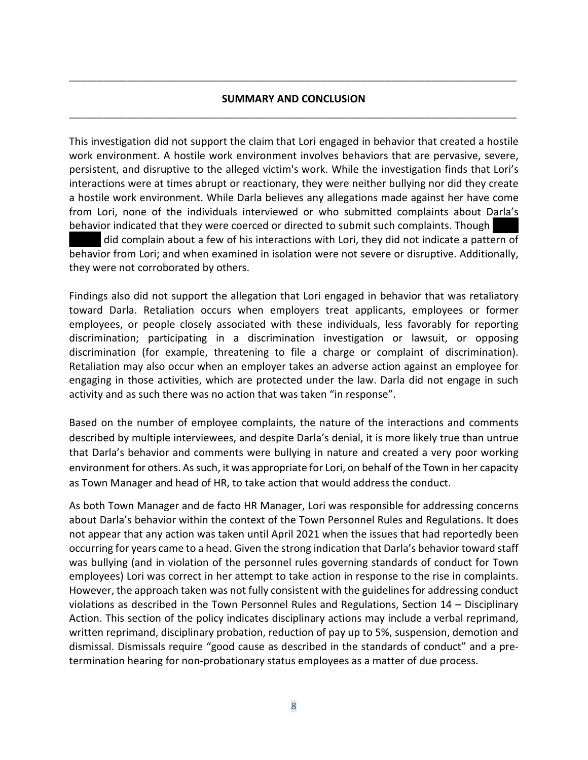## **SUMMARY AND CONCLUSION \_\_\_\_\_\_\_\_\_\_\_\_\_\_\_\_\_\_\_\_\_\_\_\_\_\_\_\_\_\_\_\_\_\_\_\_\_\_\_\_\_\_\_\_\_\_\_\_\_\_\_\_\_\_\_\_\_\_\_\_\_\_\_\_\_\_\_\_\_\_\_\_\_\_\_\_\_\_**

**\_\_\_\_\_\_\_\_\_\_\_\_\_\_\_\_\_\_\_\_\_\_\_\_\_\_\_\_\_\_\_\_\_\_\_\_\_\_\_\_\_\_\_\_\_\_\_\_\_\_\_\_\_\_\_\_\_\_\_\_\_\_\_\_\_\_\_\_\_\_\_\_\_\_\_\_\_\_**

This investigation did not support the claim that Lori engaged in behavior that created a hostile work environment. A hostile work environment involves behaviors that are pervasive, severe, persistent, and disruptive to the alleged victim's work. While the investigation finds that Lori's interactions were at times abrupt or reactionary, they were neither bullying nor did they create a hostile work environment. While Darla believes any allegations made against her have come from Lori, none of the individuals interviewed or who submitted complaints about Darla's behavior indicated that they were coerced or directed to submit such complaints. Though did complain about a few of his interactions with Lori, they did not indicate a pattern of

behavior from Lori; and when examined in isolation were not severe or disruptive. Additionally, they were not corroborated by others.

Findings also did not support the allegation that Lori engaged in behavior that was retaliatory toward Darla. Retaliation occurs when employers treat applicants, employees or former employees, or people closely associated with these individuals, less favorably for reporting discrimination; participating in a discrimination investigation or lawsuit, or opposing discrimination (for example, threatening to file a charge or complaint of discrimination). Retaliation may also occur when an employer takes an adverse action against an employee for engaging in those activities, which are protected under the law. Darla did not engage in such activity and as such there was no action that was taken "in response".

Based on the number of employee complaints, the nature of the interactions and comments described by multiple interviewees, and despite Darla's denial, it is more likely true than untrue that Darla's behavior and comments were bullying in nature and created a very poor working environment for others. As such, it was appropriate for Lori, on behalf of the Town in her capacity as Town Manager and head of HR, to take action that would address the conduct.

As both Town Manager and de facto HR Manager, Lori was responsible for addressing concerns about Darla's behavior within the context of the Town Personnel Rules and Regulations. It does not appear that any action was taken until April 2021 when the issues that had reportedly been occurring for years came to a head. Given the strong indication that Darla's behavior toward staff was bullying (and in violation of the personnel rules governing standards of conduct for Town employees) Lori was correct in her attempt to take action in response to the rise in complaints. However, the approach taken was not fully consistent with the guidelines for addressing conduct violations as described in the Town Personnel Rules and Regulations, Section 14 – Disciplinary Action. This section of the policy indicates disciplinary actions may include a verbal reprimand, written reprimand, disciplinary probation, reduction of pay up to 5%, suspension, demotion and dismissal. Dismissals require "good cause as described in the standards of conduct" and a pretermination hearing for non-probationary status employees as a matter of due process.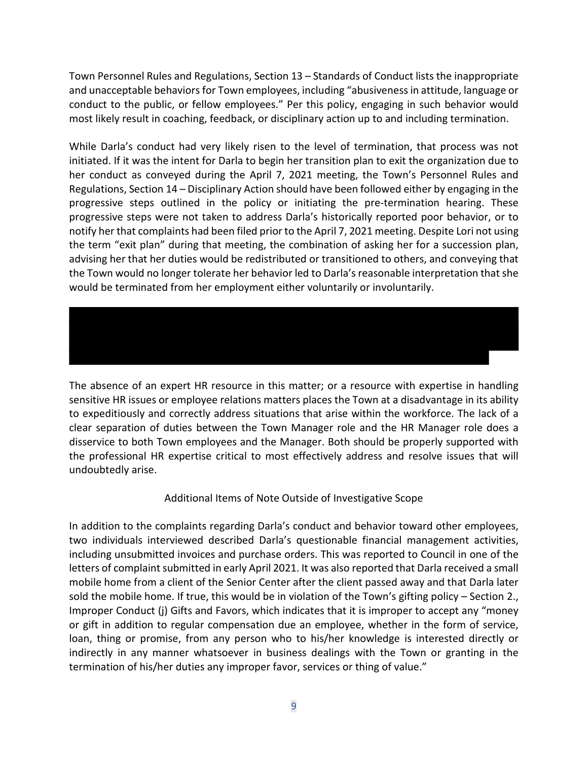Town Personnel Rules and Regulations, Section 13 – Standards of Conduct lists the inappropriate and unacceptable behaviors for Town employees, including "abusiveness in attitude, language or conduct to the public, or fellow employees." Per this policy, engaging in such behavior would most likely result in coaching, feedback, or disciplinary action up to and including termination.

While Darla's conduct had very likely risen to the level of termination, that process was not initiated. If it was the intent for Darla to begin her transition plan to exit the organization due to her conduct as conveyed during the April 7, 2021 meeting, the Town's Personnel Rules and Regulations, Section 14 – Disciplinary Action should have been followed either by engaging in the progressive steps outlined in the policy or initiating the pre-termination hearing. These progressive steps were not taken to address Darla's historically reported poor behavior, or to notify her that complaints had been filed prior to the April 7, 2021 meeting. Despite Lori not using the term "exit plan" during that meeting, the combination of asking her for a succession plan, advising her that her duties would be redistributed or transitioned to others, and conveying that the Town would no longer tolerate her behavior led to Darla's reasonable interpretation that she would be terminated from her employment either voluntarily or involuntarily.

The absence of an expert HR resource in this matter; or a resource with expertise in handling sensitive HR issues or employee relations matters places the Town at a disadvantage in its ability to expeditiously and correctly address situations that arise within the workforce. The lack of a clear separation of duties between the Town Manager role and the HR Manager role does a disservice to both Town employees and the Manager. Both should be properly supported with the professional HR expertise critical to most effectively address and resolve issues that will undoubtedly arise.

### Additional Items of Note Outside of Investigative Scope

In addition to the complaints regarding Darla's conduct and behavior toward other employees, two individuals interviewed described Darla's questionable financial management activities, including unsubmitted invoices and purchase orders. This was reported to Council in one of the letters of complaint submitted in early April 2021. It was also reported that Darla received a small mobile home from a client of the Senior Center after the client passed away and that Darla later sold the mobile home. If true, this would be in violation of the Town's gifting policy – Section 2., Improper Conduct (j) Gifts and Favors, which indicates that it is improper to accept any "money or gift in addition to regular compensation due an employee, whether in the form of service, loan, thing or promise, from any person who to his/her knowledge is interested directly or indirectly in any manner whatsoever in business dealings with the Town or granting in the termination of his/her duties any improper favor, services or thing of value."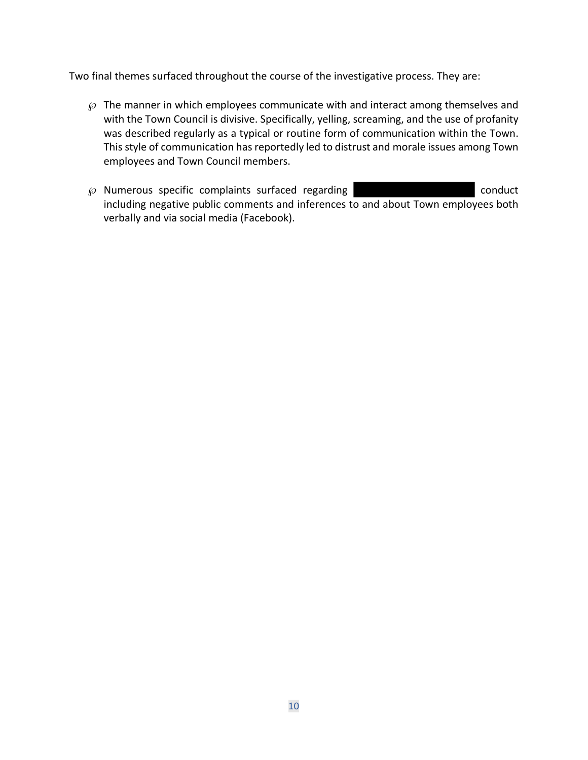Two final themes surfaced throughout the course of the investigative process. They are:

- $\wp$  The manner in which employees communicate with and interact among themselves and with the Town Council is divisive. Specifically, yelling, screaming, and the use of profanity was described regularly as a typical or routine form of communication within the Town. This style of communication has reportedly led to distrust and morale issues among Town employees and Town Council members.
- $\wp$  Numerous specific complaints surfaced regarding  $\Box$ including negative public comments and inferences to and about Town employees both verbally and via social media (Facebook).